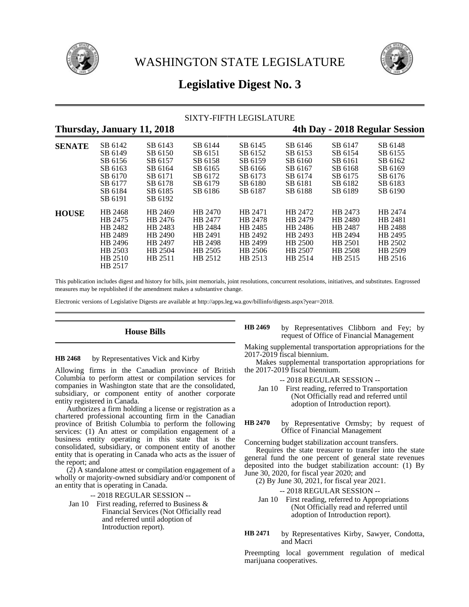



# **Legislative Digest No. 3**

# SIXTY-FIFTH LEGISLATURE

# **Thursday, January 11, 2018 4th Day - 2018 Regular Session**

| <b>SENATE</b> | SB 6142<br>SB 6149<br>SB 6156<br>SB 6163<br>SB 6170<br>SB 6177                       | SB 6143<br>SB 6150<br>SB 6157<br>SB 6164<br>SB 6171<br>SB 6178            | SB 6144<br>SB 6151<br>SB 6158<br>SB 6165<br>SB 6172<br>SB 6179            | SB 6145<br>SB 6152<br>SB 6159<br>SB 6166<br>SB 6173<br>SB 6180            | SB 6146<br>SB 6153<br>SB 6160<br>SB 6167<br>SB 6174<br>SB 6181            | SB 6147<br>SB 6154<br>SB 6161<br>SB 6168<br>SB 6175<br>SB 6182            | SB 6148<br>SB 6155<br>SB 6162<br>SB 6169<br>SB 6176<br>SB 6183            |
|---------------|--------------------------------------------------------------------------------------|---------------------------------------------------------------------------|---------------------------------------------------------------------------|---------------------------------------------------------------------------|---------------------------------------------------------------------------|---------------------------------------------------------------------------|---------------------------------------------------------------------------|
|               | SB 6184<br>SB 6191                                                                   | SB 6185<br>SB 6192                                                        | SB 6186                                                                   | SB 6187                                                                   | SB 6188                                                                   | SB 6189                                                                   | SB 6190                                                                   |
| <b>HOUSE</b>  | HB 2468<br>HB 2475<br>HB 2482<br>HB 2489<br>HB 2496<br>HB 2503<br>HB 2510<br>HB 2517 | HB 2469<br>HB 2476<br>HB 2483<br>HB 2490<br>HB 2497<br>HB 2504<br>HB 2511 | HB 2470<br>HB 2477<br>HB 2484<br>HB 2491<br>HB 2498<br>HB 2505<br>HB 2512 | HB 2471<br>HB 2478<br>HB 2485<br>HB 2492<br>HB 2499<br>HB 2506<br>HB 2513 | HB 2472<br>HB 2479<br>HB 2486<br>HB 2493<br>HB 2500<br>HB 2507<br>HB 2514 | HB 2473<br>HB 2480<br>HB 2487<br>HB 2494<br>HB 2501<br>HB 2508<br>HB 2515 | HB 2474<br>HB 2481<br>HB 2488<br>HB 2495<br>HB 2502<br>HB 2509<br>HB 2516 |

This publication includes digest and history for bills, joint memorials, joint resolutions, concurrent resolutions, initiatives, and substitutes. Engrossed measures may be republished if the amendment makes a substantive change.

Electronic versions of Legislative Digests are available at http://apps.leg.wa.gov/billinfo/digests.aspx?year=2018.

## **House Bills**

by Representatives Vick and Kirby **HB 2468**

Allowing firms in the Canadian province of British Columbia to perform attest or compilation services for companies in Washington state that are the consolidated, subsidiary, or component entity of another corporate entity registered in Canada.

Authorizes a firm holding a license or registration as a chartered professional accounting firm in the Canadian province of British Columbia to perform the following services: (1) An attest or compilation engagement of a business entity operating in this state that is the consolidated, subsidiary, or component entity of another entity that is operating in Canada who acts as the issuer of the report; and

(2) A standalone attest or compilation engagement of a wholly or majority-owned subsidiary and/or component of an entity that is operating in Canada.

-- 2018 REGULAR SESSION --

Jan 10 First reading, referred to Business & Financial Services (Not Officially read and referred until adoption of Introduction report).

by Representatives Clibborn and Fey; by request of Office of Financial Management **HB 2469**

Making supplemental transportation appropriations for the 2017-2019 fiscal biennium.

Makes supplemental transportation appropriations for the 2017-2019 fiscal biennium.

-- 2018 REGULAR SESSION --

- Jan 10 First reading, referred to Transportation (Not Officially read and referred until adoption of Introduction report).
- by Representative Ormsby; by request of Office of Financial Management **HB 2470**

Concerning budget stabilization account transfers.

Requires the state treasurer to transfer into the state general fund the one percent of general state revenues deposited into the budget stabilization account: (1) By June 30, 2020, for fiscal year 2020; and

(2) By June 30, 2021, for fiscal year 2021.

-- 2018 REGULAR SESSION --

- Jan 10 First reading, referred to Appropriations (Not Officially read and referred until adoption of Introduction report).
- by Representatives Kirby, Sawyer, Condotta, and Macri **HB 2471**

Preempting local government regulation of medical marijuana cooperatives.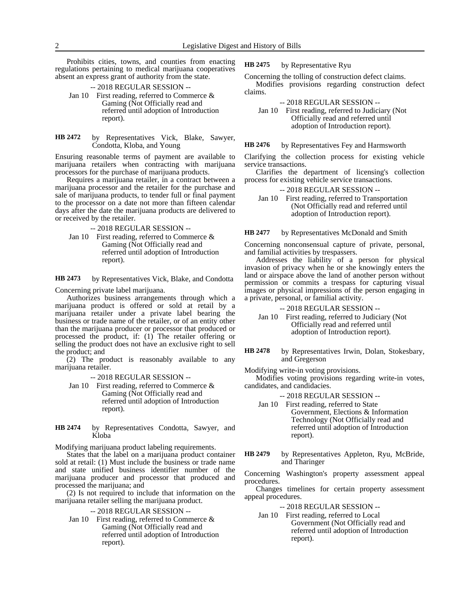Prohibits cities, towns, and counties from enacting regulations pertaining to medical marijuana cooperatives absent an express grant of authority from the state.

- -- 2018 REGULAR SESSION -- Jan 10 First reading, referred to Commerce & Gaming (Not Officially read and referred until adoption of Introduction report).
- by Representatives Vick, Blake, Sawyer, Condotta, Kloba, and Young **HB 2472**

Ensuring reasonable terms of payment are available to marijuana retailers when contracting with marijuana processors for the purchase of marijuana products.

Requires a marijuana retailer, in a contract between a marijuana processor and the retailer for the purchase and sale of marijuana products, to tender full or final payment to the processor on a date not more than fifteen calendar days after the date the marijuana products are delivered to or received by the retailer.

-- 2018 REGULAR SESSION --

Jan 10 First reading, referred to Commerce & Gaming (Not Officially read and referred until adoption of Introduction report).

by Representatives Vick, Blake, and Condotta **HB 2473**

Concerning private label marijuana.

Authorizes business arrangements through which a marijuana product is offered or sold at retail by a marijuana retailer under a private label bearing the business or trade name of the retailer, or of an entity other than the marijuana producer or processor that produced or processed the product, if: (1) The retailer offering or selling the product does not have an exclusive right to sell the product; and

(2) The product is reasonably available to any marijuana retailer.

-- 2018 REGULAR SESSION --

- Jan 10 First reading, referred to Commerce & Gaming (Not Officially read and referred until adoption of Introduction report).
- by Representatives Condotta, Sawyer, and Kloba **HB 2474**

Modifying marijuana product labeling requirements.

States that the label on a marijuana product container sold at retail: (1) Must include the business or trade name and state unified business identifier number of the marijuana producer and processor that produced and processed the marijuana; and

(2) Is not required to include that information on the marijuana retailer selling the marijuana product.

-- 2018 REGULAR SESSION --

Jan 10 First reading, referred to Commerce & Gaming (Not Officially read and referred until adoption of Introduction report).

by Representative Ryu **HB 2475**

Concerning the tolling of construction defect claims. Modifies provisions regarding construction defect claims.

-- 2018 REGULAR SESSION --

Jan 10 First reading, referred to Judiciary (Not Officially read and referred until adoption of Introduction report).

by Representatives Fey and Harmsworth **HB 2476**

Clarifying the collection process for existing vehicle service transactions.

Clarifies the department of licensing's collection process for existing vehicle service transactions.

- -- 2018 REGULAR SESSION --
- Jan 10 First reading, referred to Transportation (Not Officially read and referred until adoption of Introduction report).

### by Representatives McDonald and Smith **HB 2477**

Concerning nonconsensual capture of private, personal, and familial activities by trespassers.

Addresses the liability of a person for physical invasion of privacy when he or she knowingly enters the land or airspace above the land of another person without permission or commits a trespass for capturing visual images or physical impressions of the person engaging in a private, personal, or familial activity.

-- 2018 REGULAR SESSION --

Jan 10 First reading, referred to Judiciary (Not Officially read and referred until adoption of Introduction report).

by Representatives Irwin, Dolan, Stokesbary, and Gregerson **HB 2478**

Modifying write-in voting provisions.

Modifies voting provisions regarding write-in votes, candidates, and candidacies.

-- 2018 REGULAR SESSION --

- Jan 10 First reading, referred to State Government, Elections & Information Technology (Not Officially read and referred until adoption of Introduction report).
- by Representatives Appleton, Ryu, McBride, and Tharinger **HB 2479**

Concerning Washington's property assessment appeal procedures.

Changes timelines for certain property assessment appeal procedures.

-- 2018 REGULAR SESSION --

Jan 10 First reading, referred to Local Government (Not Officially read and referred until adoption of Introduction report).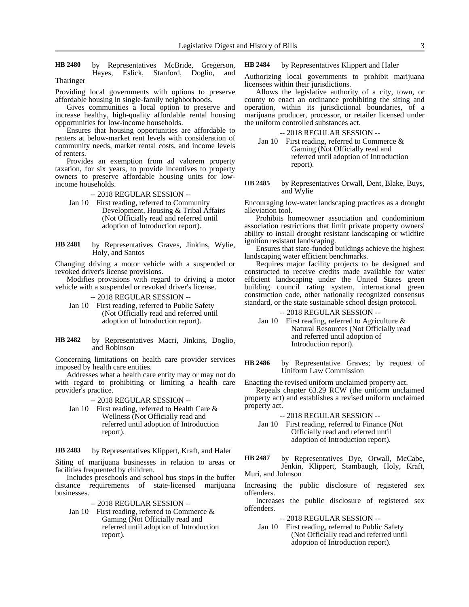by Representatives McBride, Gregerson, Hayes, Eslick, Stanford, Doglio, and **HB 2480**

Tharinger

Providing local governments with options to preserve affordable housing in single-family neighborhoods.

Gives communities a local option to preserve and increase healthy, high-quality affordable rental housing opportunities for low-income households.

Ensures that housing opportunities are affordable to renters at below-market rent levels with consideration of community needs, market rental costs, and income levels of renters.

Provides an exemption from ad valorem property taxation, for six years, to provide incentives to property owners to preserve affordable housing units for lowincome households.

-- 2018 REGULAR SESSION --

Jan 10 First reading, referred to Community Development, Housing & Tribal Affairs (Not Officially read and referred until adoption of Introduction report).

by Representatives Graves, Jinkins, Wylie, Holy, and Santos **HB 2481**

Changing driving a motor vehicle with a suspended or revoked driver's license provisions.

Modifies provisions with regard to driving a motor vehicle with a suspended or revoked driver's license.

-- 2018 REGULAR SESSION --

- Jan 10 First reading, referred to Public Safety (Not Officially read and referred until adoption of Introduction report).
- by Representatives Macri, Jinkins, Doglio, and Robinson **HB 2482**

Concerning limitations on health care provider services imposed by health care entities.

Addresses what a health care entity may or may not do with regard to prohibiting or limiting a health care provider's practice.

-- 2018 REGULAR SESSION --

Jan 10 First reading, referred to Health Care & Wellness (Not Officially read and referred until adoption of Introduction report).

by Representatives Klippert, Kraft, and Haler **HB 2483**

Siting of marijuana businesses in relation to areas or facilities frequented by children.

Includes preschools and school bus stops in the buffer distance requirements of state-licensed marijuana businesses.

-- 2018 REGULAR SESSION --

Jan 10 First reading, referred to Commerce & Gaming (Not Officially read and referred until adoption of Introduction report).

by Representatives Klippert and Haler **HB 2484**

Authorizing local governments to prohibit marijuana licensees within their jurisdictions.

Allows the legislative authority of a city, town, or county to enact an ordinance prohibiting the siting and operation, within its jurisdictional boundaries, of a marijuana producer, processor, or retailer licensed under the uniform controlled substances act.

-- 2018 REGULAR SESSION --

Jan 10 First reading, referred to Commerce & Gaming (Not Officially read and referred until adoption of Introduction report).

by Representatives Orwall, Dent, Blake, Buys, and Wylie **HB 2485**

Encouraging low-water landscaping practices as a drought alleviation tool.

Prohibits homeowner association and condominium association restrictions that limit private property owners' ability to install drought resistant landscaping or wildfire ignition resistant landscaping.

Ensures that state-funded buildings achieve the highest landscaping water efficient benchmarks.

Requires major facility projects to be designed and constructed to receive credits made available for water efficient landscaping under the United States green building council rating system, international green construction code, other nationally recognized consensus standard, or the state sustainable school design protocol.

-- 2018 REGULAR SESSION --

Jan 10 First reading, referred to Agriculture & Natural Resources (Not Officially read and referred until adoption of Introduction report).

by Representative Graves; by request of Uniform Law Commission **HB 2486**

Enacting the revised uniform unclaimed property act.

Repeals chapter 63.29 RCW (the uniform unclaimed property act) and establishes a revised uniform unclaimed property act.

-- 2018 REGULAR SESSION --

Jan 10 First reading, referred to Finance (Not Officially read and referred until adoption of Introduction report).

by Representatives Dye, Orwall, McCabe, Jenkin, Klippert, Stambaugh, Holy, Kraft, Muri, and Johnson **HB 2487**

Increasing the public disclosure of registered sex offenders.

Increases the public disclosure of registered sex offenders.

-- 2018 REGULAR SESSION --

Jan 10 First reading, referred to Public Safety (Not Officially read and referred until adoption of Introduction report).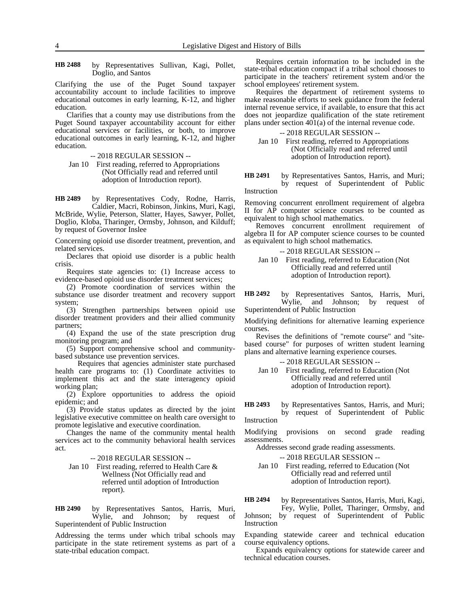by Representatives Sullivan, Kagi, Pollet, Doglio, and Santos **HB 2488**

Clarifying the use of the Puget Sound taxpayer accountability account to include facilities to improve educational outcomes in early learning, K-12, and higher education.

Clarifies that a county may use distributions from the Puget Sound taxpayer accountability account for either educational services or facilities, or both, to improve educational outcomes in early learning, K-12, and higher education.

-- 2018 REGULAR SESSION --

Jan 10 First reading, referred to Appropriations (Not Officially read and referred until adoption of Introduction report).

by Representatives Cody, Rodne, Harris, Caldier, Macri, Robinson, Jinkins, Muri, Kagi, **HB 2489**

McBride, Wylie, Peterson, Slatter, Hayes, Sawyer, Pollet, Doglio, Kloba, Tharinger, Ormsby, Johnson, and Kilduff; by request of Governor Inslee

Concerning opioid use disorder treatment, prevention, and related services.

Declares that opioid use disorder is a public health crisis.

Requires state agencies to: (1) Increase access to evidence-based opioid use disorder treatment services;

(2) Promote coordination of services within the substance use disorder treatment and recovery support system;

(3) Strengthen partnerships between opioid use disorder treatment providers and their allied community partners;

(4) Expand the use of the state prescription drug monitoring program; and

(5) Support comprehensive school and communitybased substance use prevention services.

Requires that agencies administer state purchased health care programs to: (1) Coordinate activities to implement this act and the state interagency opioid working plan;

(2) Explore opportunities to address the opioid epidemic; and

(3) Provide status updates as directed by the joint legislative executive committee on health care oversight to promote legislative and executive coordination.

Changes the name of the community mental health services act to the community behavioral health services act.

-- 2018 REGULAR SESSION --

Jan 10 First reading, referred to Health Care & Wellness (Not Officially read and referred until adoption of Introduction report).

by Representatives Santos, Harris, Muri, Wylie, and Johnson; by request of Superintendent of Public Instruction **HB 2490**

Addressing the terms under which tribal schools may participate in the state retirement systems as part of a state-tribal education compact.

Requires certain information to be included in the state-tribal education compact if a tribal school chooses to participate in the teachers' retirement system and/or the school employees' retirement system.

Requires the department of retirement systems to make reasonable efforts to seek guidance from the federal internal revenue service, if available, to ensure that this act does not jeopardize qualification of the state retirement plans under section 401(a) of the internal revenue code.

-- 2018 REGULAR SESSION --

Jan 10 First reading, referred to Appropriations (Not Officially read and referred until adoption of Introduction report).

by Representatives Santos, Harris, and Muri; by request of Superintendent of Public Instruction **HB 2491**

Removing concurrent enrollment requirement of algebra II for AP computer science courses to be counted as equivalent to high school mathematics.

Removes concurrent enrollment requirement of algebra II for AP computer science courses to be counted as equivalent to high school mathematics.

|          | -- 2018 REGULAR SESSION --                 |
|----------|--------------------------------------------|
| Jan $10$ | First reading, referred to Education (Not) |
|          | Officially read and referred until         |
|          | adoption of Introduction report).          |

by Representatives Santos, Harris, Muri, Wylie, and Johnson; by request of Superintendent of Public Instruction **HB 2492**

Modifying definitions for alternative learning experience courses.

Revises the definitions of "remote course" and "sitebased course" for purposes of written student learning plans and alternative learning experience courses.

-- 2018 REGULAR SESSION --

Jan 10 First reading, referred to Education (Not Officially read and referred until adoption of Introduction report).

by Representatives Santos, Harris, and Muri; by request of Superintendent of Public **HB 2493**

Instruction

Modifying provisions on second grade reading assessments.

Addresses second grade reading assessments.

-- 2018 REGULAR SESSION --

Jan 10 First reading, referred to Education (Not Officially read and referred until adoption of Introduction report).

by Representatives Santos, Harris, Muri, Kagi, **HB 2494**

Fey, Wylie, Pollet, Tharinger, Ormsby, and Johnson; by request of Superintendent of Public Instruction

Expanding statewide career and technical education course equivalency options.

Expands equivalency options for statewide career and technical education courses.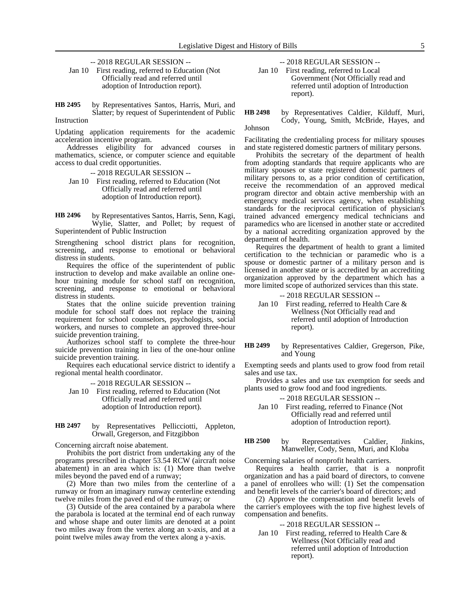-- 2018 REGULAR SESSION --

Jan 10 First reading, referred to Education (Not Officially read and referred until adoption of Introduction report).

by Representatives Santos, Harris, Muri, and Slatter; by request of Superintendent of Public Instruction **HB 2495**

Updating application requirements for the academic acceleration incentive program.

Addresses eligibility for advanced courses in mathematics, science, or computer science and equitable access to dual credit opportunities.

- -- 2018 REGULAR SESSION --
- Jan 10 First reading, referred to Education (Not Officially read and referred until adoption of Introduction report).

by Representatives Santos, Harris, Senn, Kagi, Wylie, Slatter, and Pollet; by request of Superintendent of Public Instruction **HB 2496**

Strengthening school district plans for recognition, screening, and response to emotional or behavioral distress in students.

Requires the office of the superintendent of public instruction to develop and make available an online onehour training module for school staff on recognition, screening, and response to emotional or behavioral distress in students.

States that the online suicide prevention training module for school staff does not replace the training requirement for school counselors, psychologists, social workers, and nurses to complete an approved three-hour suicide prevention training.

Authorizes school staff to complete the three-hour suicide prevention training in lieu of the one-hour online suicide prevention training.

Requires each educational service district to identify a regional mental health coordinator.

-- 2018 REGULAR SESSION --

- Jan 10 First reading, referred to Education (Not Officially read and referred until adoption of Introduction report).
- by Representatives Pellicciotti, Appleton, Orwall, Gregerson, and Fitzgibbon **HB 2497**

Concerning aircraft noise abatement.

Prohibits the port district from undertaking any of the programs prescribed in chapter 53.54 RCW (aircraft noise abatement) in an area which is: (1) More than twelve miles beyond the paved end of a runway;

(2) More than two miles from the centerline of a runway or from an imaginary runway centerline extending twelve miles from the paved end of the runway; or

(3) Outside of the area contained by a parabola where the parabola is located at the terminal end of each runway and whose shape and outer limits are denoted at a point two miles away from the vertex along an x-axis, and at a point twelve miles away from the vertex along a y-axis.

-- 2018 REGULAR SESSION --

Jan 10 First reading, referred to Local Government (Not Officially read and referred until adoption of Introduction report).

### by Representatives Caldier, Kilduff, Muri, Cody, Young, Smith, McBride, Hayes, and **HB 2498**

Johnson

Facilitating the credentialing process for military spouses and state registered domestic partners of military persons.

Prohibits the secretary of the department of health from adopting standards that require applicants who are military spouses or state registered domestic partners of military persons to, as a prior condition of certification, receive the recommendation of an approved medical program director and obtain active membership with an emergency medical services agency, when establishing standards for the reciprocal certification of physician's trained advanced emergency medical technicians and paramedics who are licensed in another state or accredited by a national accrediting organization approved by the department of health.

Requires the department of health to grant a limited certification to the technician or paramedic who is a spouse or domestic partner of a military person and is licensed in another state or is accredited by an accrediting organization approved by the department which has a more limited scope of authorized services than this state.

- -- 2018 REGULAR SESSION --
- Jan 10 First reading, referred to Health Care & Wellness (Not Officially read and referred until adoption of Introduction report).
- by Representatives Caldier, Gregerson, Pike, and Young **HB 2499**

Exempting seeds and plants used to grow food from retail sales and use tax.

Provides a sales and use tax exemption for seeds and plants used to grow food and food ingredients.

-- 2018 REGULAR SESSION --

Jan 10 First reading, referred to Finance (Not Officially read and referred until adoption of Introduction report).

by Representatives Caldier, Jinkins, Manweller, Cody, Senn, Muri, and Kloba **HB 2500**

Concerning salaries of nonprofit health carriers.

Requires a health carrier, that is a nonprofit organization and has a paid board of directors, to convene a panel of enrollees who will: (1) Set the compensation and benefit levels of the carrier's board of directors; and

(2) Approve the compensation and benefit levels of the carrier's employees with the top five highest levels of compensation and benefits.

### -- 2018 REGULAR SESSION --

Jan 10 First reading, referred to Health Care & Wellness (Not Officially read and referred until adoption of Introduction report).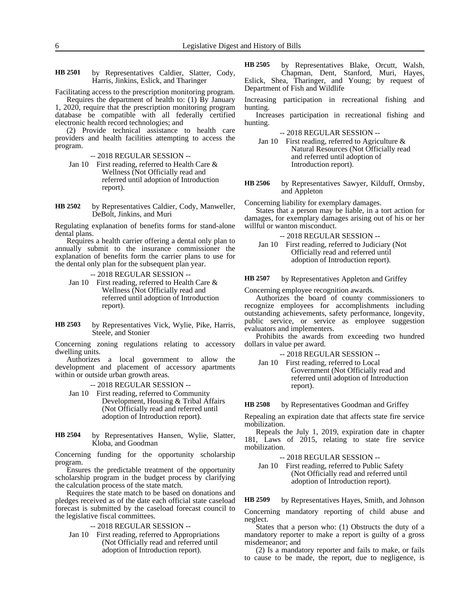by Representatives Caldier, Slatter, Cody, Harris, Jinkins, Eslick, and Tharinger **HB 2501**

Facilitating access to the prescription monitoring program.

Requires the department of health to: (1) By January 1, 2020, require that the prescription monitoring program database be compatible with all federally certified electronic health record technologies; and

(2) Provide technical assistance to health care providers and health facilities attempting to access the program.

-- 2018 REGULAR SESSION --

Jan 10 First reading, referred to Health Care & Wellness (Not Officially read and referred until adoption of Introduction report).

by Representatives Caldier, Cody, Manweller, DeBolt, Jinkins, and Muri **HB 2502**

Regulating explanation of benefits forms for stand-alone dental plans.

Requires a health carrier offering a dental only plan to annually submit to the insurance commissioner the explanation of benefits form the carrier plans to use for the dental only plan for the subsequent plan year.

- -- 2018 REGULAR SESSION -- Jan 10 First reading, referred to Health Care & Wellness (Not Officially read and referred until adoption of Introduction report).
- by Representatives Vick, Wylie, Pike, Harris, Steele, and Stonier **HB 2503**

Concerning zoning regulations relating to accessory dwelling units.

Authorizes a local government to allow the development and placement of accessory apartments within or outside urban growth areas.

-- 2018 REGULAR SESSION --

- Jan 10 First reading, referred to Community Development, Housing & Tribal Affairs (Not Officially read and referred until adoption of Introduction report).
- by Representatives Hansen, Wylie, Slatter, Kloba, and Goodman **HB 2504**

Concerning funding for the opportunity scholarship program.

Ensures the predictable treatment of the opportunity scholarship program in the budget process by clarifying the calculation process of the state match.

Requires the state match to be based on donations and pledges received as of the date each official state caseload forecast is submitted by the caseload forecast council to the legislative fiscal committees.

-- 2018 REGULAR SESSION --

Jan 10 First reading, referred to Appropriations (Not Officially read and referred until adoption of Introduction report).

by Representatives Blake, Orcutt, Walsh, Chapman, Dent, Stanford, Muri, Hayes, Eslick, Shea, Tharinger, and Young; by request of Department of Fish and Wildlife **HB 2505**

Increasing participation in recreational fishing and hunting.

Increases participation in recreational fishing and hunting.

-- 2018 REGULAR SESSION --

Jan 10 First reading, referred to Agriculture & Natural Resources (Not Officially read and referred until adoption of Introduction report).

by Representatives Sawyer, Kilduff, Ormsby, and Appleton **HB 2506**

Concerning liability for exemplary damages.

States that a person may be liable, in a tort action for damages, for exemplary damages arising out of his or her willful or wanton misconduct.

- -- 2018 REGULAR SESSION --
- Jan 10 First reading, referred to Judiciary (Not Officially read and referred until adoption of Introduction report).

by Representatives Appleton and Griffey **HB 2507**

Concerning employee recognition awards.

Authorizes the board of county commissioners to recognize employees for accomplishments including outstanding achievements, safety performance, longevity, public service, or service as employee suggestion evaluators and implementers.

Prohibits the awards from exceeding two hundred dollars in value per award.

-- 2018 REGULAR SESSION --

Jan 10 First reading, referred to Local Government (Not Officially read and referred until adoption of Introduction report).

by Representatives Goodman and Griffey **HB 2508**

Repealing an expiration date that affects state fire service mobilization.

Repeals the July 1, 2019, expiration date in chapter 181, Laws of 2015, relating to state fire service mobilization.

-- 2018 REGULAR SESSION --

Jan 10 First reading, referred to Public Safety (Not Officially read and referred until adoption of Introduction report).

by Representatives Hayes, Smith, and Johnson **HB 2509**

Concerning mandatory reporting of child abuse and neglect.

States that a person who: (1) Obstructs the duty of a mandatory reporter to make a report is guilty of a gross misdemeanor; and

(2) Is a mandatory reporter and fails to make, or fails to cause to be made, the report, due to negligence, is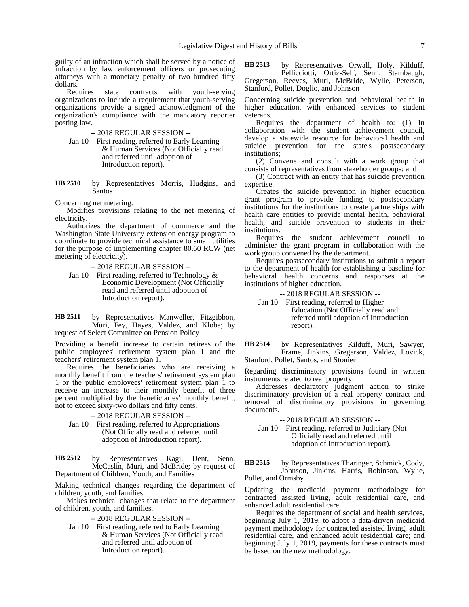guilty of an infraction which shall be served by a notice of infraction by law enforcement officers or prosecuting attorneys with a monetary penalty of two hundred fifty dollars.

Requires state contracts with youth-serving organizations to include a requirement that youth-serving organizations provide a signed acknowledgment of the organization's compliance with the mandatory reporter posting law.

### -- 2018 REGULAR SESSION --

Jan 10 First reading, referred to Early Learning & Human Services (Not Officially read and referred until adoption of Introduction report).

by Representatives Morris, Hudgins, and Santos **HB 2510**

Concerning net metering.

Modifies provisions relating to the net metering of electricity.

Authorizes the department of commerce and the Washington State University extension energy program to coordinate to provide technical assistance to small utilities for the purpose of implementing chapter 80.60 RCW (net metering of electricity).

-- 2018 REGULAR SESSION --

Jan 10 First reading, referred to Technology & Economic Development (Not Officially read and referred until adoption of Introduction report).

by Representatives Manweller, Fitzgibbon, Muri, Fey, Hayes, Valdez, and Kloba; by request of Select Committee on Pension Policy **HB 2511**

Providing a benefit increase to certain retirees of the public employees' retirement system plan 1 and the teachers' retirement system plan 1.

Requires the beneficiaries who are receiving a monthly benefit from the teachers' retirement system plan 1 or the public employees' retirement system plan 1 to receive an increase to their monthly benefit of three percent multiplied by the beneficiaries' monthly benefit, not to exceed sixty-two dollars and fifty cents.

# -- 2018 REGULAR SESSION --

Jan 10 First reading, referred to Appropriations (Not Officially read and referred until adoption of Introduction report).

by Representatives Kagi, Dent, Senn, McCaslin, Muri, and McBride; by request of Department of Children, Youth, and Families **HB 2512**

Making technical changes regarding the department of children, youth, and families.

Makes technical changes that relate to the department of children, youth, and families.

-- 2018 REGULAR SESSION --

Jan 10 First reading, referred to Early Learning & Human Services (Not Officially read and referred until adoption of Introduction report).

by Representatives Orwall, Holy, Kilduff, Pellicciotti, Ortiz-Self, Senn, Stambaugh, Gregerson, Reeves, Muri, McBride, Wylie, Peterson, Stanford, Pollet, Doglio, and Johnson **HB 2513**

Concerning suicide prevention and behavioral health in higher education, with enhanced services to student veterans.

Requires the department of health to: (1) In collaboration with the student achievement council, develop a statewide resource for behavioral health and suicide prevention for the state's postsecondary institutions;

(2) Convene and consult with a work group that consists of representatives from stakeholder groups; and

(3) Contract with an entity that has suicide prevention expertise.

Creates the suicide prevention in higher education grant program to provide funding to postsecondary institutions for the institutions to create partnerships with health care entities to provide mental health, behavioral health, and suicide prevention to students in their institutions.

Requires the student achievement council to administer the grant program in collaboration with the work group convened by the department.

Requires postsecondary institutions to submit a report to the department of health for establishing a baseline for behavioral health concerns and responses at the institutions of higher education.

-- 2018 REGULAR SESSION --

Jan 10 First reading, referred to Higher Education (Not Officially read and referred until adoption of Introduction report).

by Representatives Kilduff, Muri, Sawyer, Frame, Jinkins, Gregerson, Valdez, Lovick, Stanford, Pollet, Santos, and Stonier **HB 2514**

Regarding discriminatory provisions found in written instruments related to real property.

Addresses declaratory judgment action to strike discriminatory provision of a real property contract and removal of discriminatory provisions in governing documents.

-- 2018 REGULAR SESSION --

Jan 10 First reading, referred to Judiciary (Not Officially read and referred until adoption of Introduction report).

by Representatives Tharinger, Schmick, Cody, Johnson, Jinkins, Harris, Robinson, Wylie, Pollet, and Ormsby **HB 2515**

Updating the medicaid payment methodology for contracted assisted living, adult residential care, and enhanced adult residential care.

Requires the department of social and health services, beginning July 1, 2019, to adopt a data-driven medicaid payment methodology for contracted assisted living, adult residential care, and enhanced adult residential care; and beginning July 1, 2019, payments for these contracts must be based on the new methodology.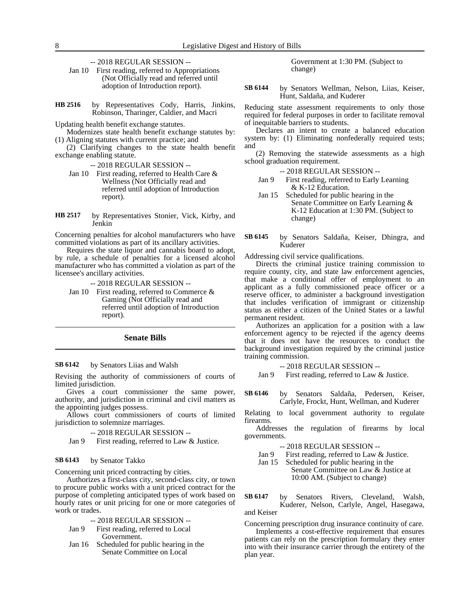-- 2018 REGULAR SESSION --

Jan 10 First reading, referred to Appropriations (Not Officially read and referred until adoption of Introduction report).

by Representatives Cody, Harris, Jinkins, Robinson, Tharinger, Caldier, and Macri **HB 2516**

Updating health benefit exchange statutes.

Modernizes state health benefit exchange statutes by: (1) Aligning statutes with current practice; and

(2) Clarifying changes to the state health benefit exchange enabling statute.

-- 2018 REGULAR SESSION --

- Jan 10 First reading, referred to Health Care & Wellness (Not Officially read and referred until adoption of Introduction report).
- by Representatives Stonier, Vick, Kirby, and **Jenkin HB 2517**

Concerning penalties for alcohol manufacturers who have committed violations as part of its ancillary activities.

Requires the state liquor and cannabis board to adopt, by rule, a schedule of penalties for a licensed alcohol manufacturer who has committed a violation as part of the licensee's ancillary activities.

-- 2018 REGULAR SESSION --

Jan 10 First reading, referred to Commerce & Gaming (Not Officially read and referred until adoption of Introduction report).

### **Senate Bills**

### by Senators Liias and Walsh **SB 6142**

Revising the authority of commissioners of courts of limited jurisdiction.

Gives a court commissioner the same power, authority, and jurisdiction in criminal and civil matters as the appointing judges possess.

Allows court commissioners of courts of limited jurisdiction to solemnize marriages.

-- 2018 REGULAR SESSION --

Jan 9 First reading, referred to Law & Justice.

#### by Senator Takko **SB 6143**

Concerning unit priced contracting by cities.

Authorizes a first-class city, second-class city, or town to procure public works with a unit priced contract for the purpose of completing anticipated types of work based on hourly rates or unit pricing for one or more categories of work or trades.

-- 2018 REGULAR SESSION --

- Jan 9 First reading, referred to Local Government.
- Jan 16 Scheduled for public hearing in the Senate Committee on Local

Government at 1:30 PM. (Subject to change)

by Senators Wellman, Nelson, Liias, Keiser, Hunt, Saldaña, and Kuderer **SB 6144**

Reducing state assessment requirements to only those required for federal purposes in order to facilitate removal of inequitable barriers to students.

Declares an intent to create a balanced education system by: (1) Eliminating nonfederally required tests; and

(2) Removing the statewide assessments as a high school graduation requirement.

- -- 2018 REGULAR SESSION --
- Jan 9 First reading, referred to Early Learning & K-12 Education.
- Jan 15 Scheduled for public hearing in the Senate Committee on Early Learning & K-12 Education at 1:30 PM. (Subject to change)
- by Senators Saldaña, Keiser, Dhingra, and Kuderer **SB 6145**

Addressing civil service qualifications.

Directs the criminal justice training commission to require county, city, and state law enforcement agencies, that make a conditional offer of employment to an applicant as a fully commissioned peace officer or a reserve officer, to administer a background investigation that includes verification of immigrant or citizenship status as either a citizen of the United States or a lawful permanent resident.

Authorizes an application for a position with a law enforcement agency to be rejected if the agency deems that it does not have the resources to conduct the background investigation required by the criminal justice training commission.

-- 2018 REGULAR SESSION --

Jan 9 First reading, referred to Law & Justice.

by Senators Saldaña, Pedersen, Keiser, Carlyle, Frockt, Hunt, Wellman, and Kuderer **SB 6146**

Relating to local government authority to regulate firearms.

Addresses the regulation of firearms by local governments.

-- 2018 REGULAR SESSION --

- Jan 9 First reading, referred to Law & Justice.
- Jan 15 Scheduled for public hearing in the

Senate Committee on Law & Justice at 10:00 AM. (Subject to change)

by Senators Rivers, Cleveland, Walsh, Kuderer, Nelson, Carlyle, Angel, Hasegawa, and Keiser **SB 6147**

Concerning prescription drug insurance continuity of care.

Implements a cost-effective requirement that ensures patients can rely on the prescription formulary they enter into with their insurance carrier through the entirety of the plan year.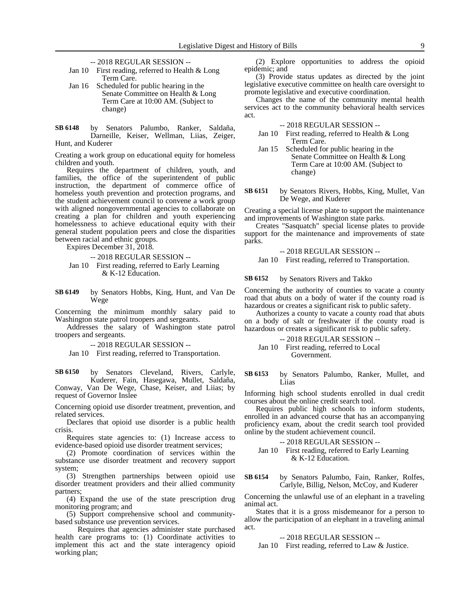- -- 2018 REGULAR SESSION --
- Jan 10 First reading, referred to Health & Long Term Care.
- Jan 16 Scheduled for public hearing in the Senate Committee on Health & Long Term Care at 10:00 AM. (Subject to change)

by Senators Palumbo, Ranker, Saldaña, Darneille, Keiser, Wellman, Liias, Zeiger, Hunt, and Kuderer **SB 6148**

Creating a work group on educational equity for homeless children and youth.

Requires the department of children, youth, and families, the office of the superintendent of public instruction, the department of commerce office of homeless youth prevention and protection programs, and the student achievement council to convene a work group with aligned nongovernmental agencies to collaborate on creating a plan for children and youth experiencing homelessness to achieve educational equity with their general student population peers and close the disparities between racial and ethnic groups.

Expires December 31, 2018.

-- 2018 REGULAR SESSION --

Jan 10 First reading, referred to Early Learning & K-12 Education.

by Senators Hobbs, King, Hunt, and Van De Wege **SB 6149**

Concerning the minimum monthly salary paid to Washington state patrol troopers and sergeants.

Addresses the salary of Washington state patrol troopers and sergeants.

-- 2018 REGULAR SESSION --

Jan 10 First reading, referred to Transportation.

by Senators Cleveland, Rivers, Carlyle, Kuderer, Fain, Hasegawa, Mullet, Saldaña, Conway, Van De Wege, Chase, Keiser, and Liias; by request of Governor Inslee **SB 6150**

Concerning opioid use disorder treatment, prevention, and related services.

Declares that opioid use disorder is a public health crisis.

Requires state agencies to: (1) Increase access to evidence-based opioid use disorder treatment services;

(2) Promote coordination of services within the substance use disorder treatment and recovery support system;

(3) Strengthen partnerships between opioid use disorder treatment providers and their allied community partners;

(4) Expand the use of the state prescription drug monitoring program; and

(5) Support comprehensive school and communitybased substance use prevention services.

Requires that agencies administer state purchased health care programs to: (1) Coordinate activities to implement this act and the state interagency opioid working plan;

(2) Explore opportunities to address the opioid epidemic; and

(3) Provide status updates as directed by the joint legislative executive committee on health care oversight to promote legislative and executive coordination.

Changes the name of the community mental health services act to the community behavioral health services act.

-- 2018 REGULAR SESSION --

- Jan 10 First reading, referred to Health & Long Term Care.
- Jan 15 Scheduled for public hearing in the Senate Committee on Health & Long Term Care at 10:00 AM. (Subject to change)
- by Senators Rivers, Hobbs, King, Mullet, Van De Wege, and Kuderer **SB 6151**

Creating a special license plate to support the maintenance and improvements of Washington state parks.

Creates "Sasquatch" special license plates to provide support for the maintenance and improvements of state parks.

-- 2018 REGULAR SESSION -- Jan 10 First reading, referred to Transportation.

by Senators Rivers and Takko **SB 6152**

Concerning the authority of counties to vacate a county road that abuts on a body of water if the county road is hazardous or creates a significant risk to public safety.

Authorizes a county to vacate a county road that abuts on a body of salt or freshwater if the county road is hazardous or creates a significant risk to public safety.

-- 2018 REGULAR SESSION --

Jan 10 First reading, referred to Local Government.

by Senators Palumbo, Ranker, Mullet, and Liias **SB 6153**

Informing high school students enrolled in dual credit courses about the online credit search tool.

Requires public high schools to inform students, enrolled in an advanced course that has an accompanying proficiency exam, about the credit search tool provided online by the student achievement council.

-- 2018 REGULAR SESSION --

Jan 10 First reading, referred to Early Learning & K-12 Education.

by Senators Palumbo, Fain, Ranker, Rolfes, Carlyle, Billig, Nelson, McCoy, and Kuderer **SB 6154**

Concerning the unlawful use of an elephant in a traveling animal act.

States that it is a gross misdemeanor for a person to allow the participation of an elephant in a traveling animal act.

-- 2018 REGULAR SESSION --

Jan 10 First reading, referred to Law & Justice.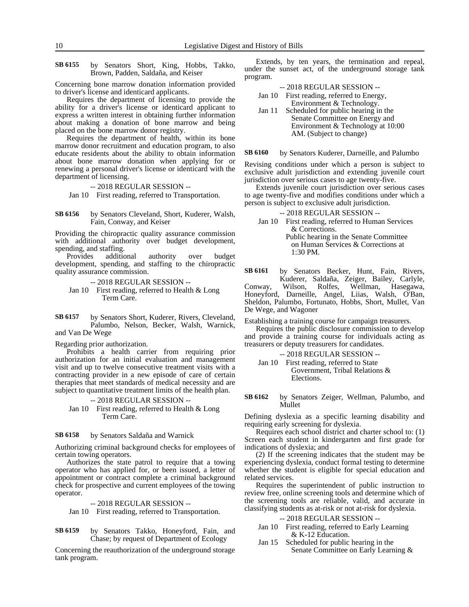by Senators Short, King, Hobbs, Takko, Brown, Padden, Saldaña, and Keiser **SB 6155**

Concerning bone marrow donation information provided to driver's license and identicard applicants.

Requires the department of licensing to provide the ability for a driver's license or identicard applicant to express a written interest in obtaining further information about making a donation of bone marrow and being placed on the bone marrow donor registry.

Requires the department of health, within its bone marrow donor recruitment and education program, to also educate residents about the ability to obtain information about bone marrow donation when applying for or renewing a personal driver's license or identicard with the department of licensing.

-- 2018 REGULAR SESSION --

Jan 10 First reading, referred to Transportation.

by Senators Cleveland, Short, Kuderer, Walsh, Fain, Conway, and Keiser **SB 6156**

Providing the chiropractic quality assurance commission with additional authority over budget development, spending, and staffing.

Provides additional authority over budget development, spending, and staffing to the chiropractic quality assurance commission.

- -- 2018 REGULAR SESSION --
- Jan 10 First reading, referred to Health & Long Term Care.

by Senators Short, Kuderer, Rivers, Cleveland, Palumbo, Nelson, Becker, Walsh, Warnick, and Van De Wege **SB 6157**

Regarding prior authorization.

Prohibits a health carrier from requiring prior authorization for an initial evaluation and management visit and up to twelve consecutive treatment visits with a contracting provider in a new episode of care of certain therapies that meet standards of medical necessity and are subject to quantitative treatment limits of the health plan.

- -- 2018 REGULAR SESSION --
- Jan 10 First reading, referred to Health & Long Term Care.

by Senators Saldaña and Warnick **SB 6158**

Authorizing criminal background checks for employees of certain towing operators.

Authorizes the state patrol to require that a towing operator who has applied for, or been issued, a letter of appointment or contract complete a criminal background check for prospective and current employees of the towing operator.

### -- 2018 REGULAR SESSION --

Jan 10 First reading, referred to Transportation.

by Senators Takko, Honeyford, Fain, and Chase; by request of Department of Ecology **SB 6159**

Concerning the reauthorization of the underground storage tank program.

Extends, by ten years, the termination and repeal, under the sunset act, of the underground storage tank program.

-- 2018 REGULAR SESSION --

| Jan 10 | First reading, referred to Energy, |
|--------|------------------------------------|
|        | Environment & Technology.          |

Jan 11 Scheduled for public hearing in the Senate Committee on Energy and Environment & Technology at 10:00 AM. (Subject to change)

by Senators Kuderer, Darneille, and Palumbo **SB 6160**

Revising conditions under which a person is subject to exclusive adult jurisdiction and extending juvenile court jurisdiction over serious cases to age twenty-five.

Extends juvenile court jurisdiction over serious cases to age twenty-five and modifies conditions under which a person is subject to exclusive adult jurisdiction.

-- 2018 REGULAR SESSION --

Jan 10 First reading, referred to Human Services & Corrections. Public hearing in the Senate Committee on Human Services & Corrections at 1:30 PM.

by Senators Becker, Hunt, Fain, Rivers, Kuderer, Saldaña, Zeiger, Bailey, Carlyle, **SB 6161**

Conway, Wilson, Rolfes, Wellman, Hasegawa, Honeyford, Darneille, Angel, Liias, Walsh, O'Ban, Sheldon, Palumbo, Fortunato, Hobbs, Short, Mullet, Van De Wege, and Wagoner

Establishing a training course for campaign treasurers.

Requires the public disclosure commission to develop and provide a training course for individuals acting as treasurers or deputy treasurers for candidates.

-- 2018 REGULAR SESSION --

Jan 10 First reading, referred to State Government, Tribal Relations & Elections.

by Senators Zeiger, Wellman, Palumbo, and Mullet **SB 6162**

Defining dyslexia as a specific learning disability and requiring early screening for dyslexia.

Requires each school district and charter school to: (1) Screen each student in kindergarten and first grade for indications of dyslexia; and

(2) If the screening indicates that the student may be experiencing dyslexia, conduct formal testing to determine whether the student is eligible for special education and related services.

Requires the superintendent of public instruction to review free, online screening tools and determine which of the screening tools are reliable, valid, and accurate in classifying students as at-risk or not at-risk for dyslexia.

-- 2018 REGULAR SESSION --

- Jan 10 First reading, referred to Early Learning & K-12 Education.
- Jan 15 Scheduled for public hearing in the Senate Committee on Early Learning &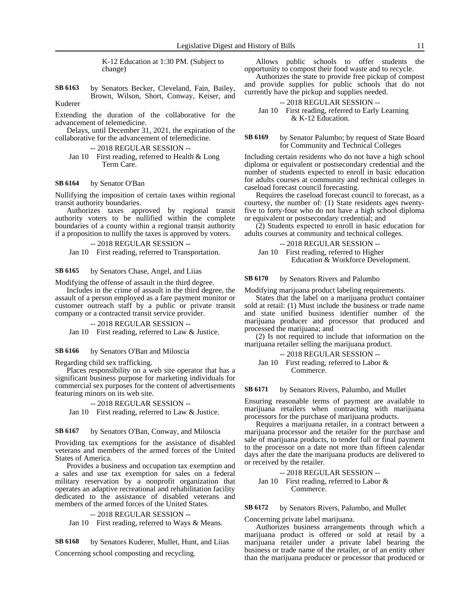K-12 Education at 1:30 PM. (Subject to change)

by Senators Becker, Cleveland, Fain, Bailey, Brown, Wilson, Short, Conway, Keiser, and Kuderer **SB 6163**

Extending the duration of the collaborative for the advancement of telemedicine.

Delays, until December 31, 2021, the expiration of the collaborative for the advancement of telemedicine.

- -- 2018 REGULAR SESSION --
- Jan 10 First reading, referred to Health & Long Term Care.

#### by Senator O'Ban **SB 6164**

Nullifying the imposition of certain taxes within regional transit authority boundaries.

Authorizes taxes approved by regional transit authority voters to be nullified within the complete boundaries of a county within a regional transit authority if a proposition to nullify the taxes is approved by voters.

-- 2018 REGULAR SESSION --

Jan 10 First reading, referred to Transportation.

by Senators Chase, Angel, and Liias **SB 6165**

Modifying the offense of assault in the third degree.

Includes in the crime of assault in the third degree, the assault of a person employed as a fare payment monitor or customer outreach staff by a public or private transit company or a contracted transit service provider.

-- 2018 REGULAR SESSION --

Jan 10 First reading, referred to Law & Justice.

#### by Senators O'Ban and Miloscia **SB 6166**

Regarding child sex trafficking.

Places responsibility on a web site operator that has a significant business purpose for marketing individuals for commercial sex purposes for the content of advertisements featuring minors on its web site.

### -- 2018 REGULAR SESSION --

Jan 10 First reading, referred to Law & Justice.

#### by Senators O'Ban, Conway, and Miloscia **SB 6167**

Providing tax exemptions for the assistance of disabled veterans and members of the armed forces of the United States of America.

Provides a business and occupation tax exemption and a sales and use tax exemption for sales on a federal military reservation by a nonprofit organization that operates an adaptive recreational and rehabilitation facility dedicated to the assistance of disabled veterans and members of the armed forces of the United States.

```
-- 2018 REGULAR SESSION --
```
Jan 10 First reading, referred to Ways & Means.

by Senators Kuderer, Mullet, Hunt, and Liias Concerning school composting and recycling. **SB 6168**

Allows public schools to offer students the opportunity to compost their food waste and to recycle.

Authorizes the state to provide free pickup of compost and provide supplies for public schools that do not currently have the pickup and supplies needed.

-- 2018 REGULAR SESSION --

Jan 10 First reading, referred to Early Learning & K-12 Education.

by Senator Palumbo; by request of State Board for Community and Technical Colleges **SB 6169**

Including certain residents who do not have a high school diploma or equivalent or postsecondary credential and the number of students expected to enroll in basic education for adults courses at community and technical colleges in caseload forecast council forecasting.

Requires the caseload forecast council to forecast, as a courtesy, the number of: (1) State residents ages twentyfive to forty-four who do not have a high school diploma or equivalent or postsecondary credential; and

(2) Students expected to enroll in basic education for adults courses at community and technical colleges.

-- 2018 REGULAR SESSION --

Jan 10 First reading, referred to Higher Education & Workforce Development.

by Senators Rivers and Palumbo **SB 6170**

Modifying marijuana product labeling requirements.

States that the label on a marijuana product container sold at retail: (1) Must include the business or trade name and state unified business identifier number of the marijuana producer and processor that produced and processed the marijuana; and

(2) Is not required to include that information on the marijuana retailer selling the marijuana product.

```
-- 2018 REGULAR SESSION --
```
Jan 10 First reading, referred to Labor & Commerce.

#### by Senators Rivers, Palumbo, and Mullet **SB 6171**

Ensuring reasonable terms of payment are available to marijuana retailers when contracting with marijuana processors for the purchase of marijuana products.

Requires a marijuana retailer, in a contract between a marijuana processor and the retailer for the purchase and sale of marijuana products, to tender full or final payment to the processor on a date not more than fifteen calendar days after the date the marijuana products are delivered to or received by the retailer.

-- 2018 REGULAR SESSION -- Jan 10 First reading, referred to Labor & Commerce.

by Senators Rivers, Palumbo, and Mullet **SB 6172**

Concerning private label marijuana.

Authorizes business arrangements through which a marijuana product is offered or sold at retail by a marijuana retailer under a private label bearing the business or trade name of the retailer, or of an entity other than the marijuana producer or processor that produced or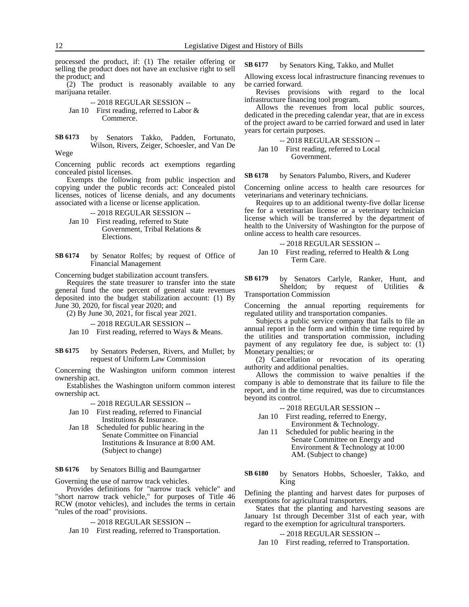processed the product, if: (1) The retailer offering or selling the product does not have an exclusive right to sell the product; and

(2) The product is reasonably available to any marijuana retailer.

-- 2018 REGULAR SESSION -- Jan 10 First reading, referred to Labor & Commerce.

by Senators Takko, Padden, Fortunato, Wilson, Rivers, Zeiger, Schoesler, and Van De Wege **SB 6173**

Concerning public records act exemptions regarding concealed pistol licenses.

Exempts the following from public inspection and copying under the public records act: Concealed pistol licenses, notices of license denials, and any documents associated with a license or license application.

-- 2018 REGULAR SESSION -- Jan 10 First reading, referred to State

Government, Tribal Relations & Elections.

by Senator Rolfes; by request of Office of Financial Management **SB 6174**

Concerning budget stabilization account transfers.

Requires the state treasurer to transfer into the state general fund the one percent of general state revenues deposited into the budget stabilization account: (1) By June 30, 2020, for fiscal year 2020; and

(2) By June 30, 2021, for fiscal year 2021.

-- 2018 REGULAR SESSION --

Jan 10 First reading, referred to Ways & Means.

by Senators Pedersen, Rivers, and Mullet; by request of Uniform Law Commission **SB 6175**

Concerning the Washington uniform common interest ownership act.

Establishes the Washington uniform common interest ownership act.

-- 2018 REGULAR SESSION --

- Jan 10 First reading, referred to Financial Institutions & Insurance.
- Jan 18 Scheduled for public hearing in the Senate Committee on Financial Institutions & Insurance at 8:00 AM. (Subject to change)

by Senators Billig and Baumgartner **SB 6176**

Governing the use of narrow track vehicles.

Provides definitions for "narrow track vehicle" and "short narrow track vehicle," for purposes of Title 46 RCW (motor vehicles), and includes the terms in certain "rules of the road" provisions.

-- 2018 REGULAR SESSION --

Jan 10 First reading, referred to Transportation.

by Senators King, Takko, and Mullet **SB 6177**

Allowing excess local infrastructure financing revenues to be carried forward.

Revises provisions with regard to the local infrastructure financing tool program.

Allows the revenues from local public sources, dedicated in the preceding calendar year, that are in excess of the project award to be carried forward and used in later years for certain purposes.

$$
-2018 \text{ REGULAR SESSION} -
$$

Jan 10 First reading, referred to Local Government.

by Senators Palumbo, Rivers, and Kuderer **SB 6178**

Concerning online access to health care resources for veterinarians and veterinary technicians.

Requires up to an additional twenty-five dollar license fee for a veterinarian license or a veterinary technician license which will be transferred by the department of health to the University of Washington for the purpose of online access to health care resources.

-- 2018 REGULAR SESSION --

Jan 10 First reading, referred to Health & Long Term Care.

by Senators Carlyle, Ranker, Hunt, and Sheldon; by request of Utilities & Transportation Commission **SB 6179**

Concerning the annual reporting requirements for regulated utility and transportation companies.

Subjects a public service company that fails to file an annual report in the form and within the time required by the utilities and transportation commission, including payment of any regulatory fee due, is subject to: (1) Monetary penalties; or

(2) Cancellation or revocation of its operating authority and additional penalties.

Allows the commission to waive penalties if the company is able to demonstrate that its failure to file the report, and in the time required, was due to circumstances beyond its control.

-- 2018 REGULAR SESSION --

- Jan 10 First reading, referred to Energy, Environment & Technology.
- Jan 11 Scheduled for public hearing in the Senate Committee on Energy and Environment & Technology at 10:00 AM. (Subject to change)

by Senators Hobbs, Schoesler, Takko, and King **SB 6180**

Defining the planting and harvest dates for purposes of exemptions for agricultural transporters.

States that the planting and harvesting seasons are January 1st through December 31st of each year, with regard to the exemption for agricultural transporters.

### -- 2018 REGULAR SESSION --

Jan 10 First reading, referred to Transportation.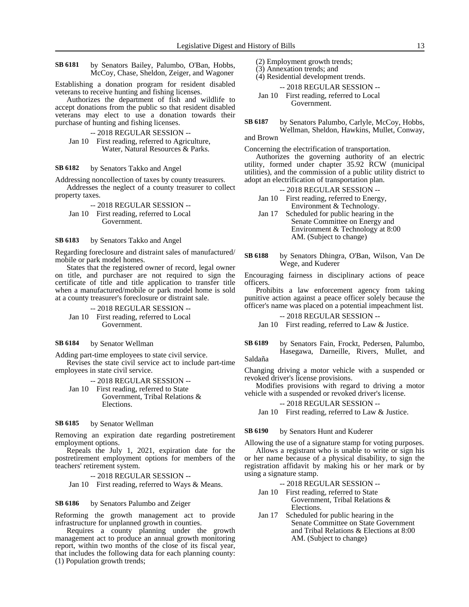by Senators Bailey, Palumbo, O'Ban, Hobbs, McCoy, Chase, Sheldon, Zeiger, and Wagoner **SB 6181**

Establishing a donation program for resident disabled veterans to receive hunting and fishing licenses.

Authorizes the department of fish and wildlife to accept donations from the public so that resident disabled veterans may elect to use a donation towards their purchase of hunting and fishing licenses.

-- 2018 REGULAR SESSION --

Jan 10 First reading, referred to Agriculture, Water, Natural Resources & Parks.

by Senators Takko and Angel **SB 6182**

Addressing noncollection of taxes by county treasurers.

Addresses the neglect of a county treasurer to collect property taxes.

-- 2018 REGULAR SESSION -- Jan 10 First reading, referred to Local Government.

by Senators Takko and Angel **SB 6183**

Regarding foreclosure and distraint sales of manufactured/ mobile or park model homes.

States that the registered owner of record, legal owner on title, and purchaser are not required to sign the certificate of title and title application to transfer title when a manufactured/mobile or park model home is sold at a county treasurer's foreclosure or distraint sale.

-- 2018 REGULAR SESSION -- Jan 10 First reading, referred to Local Government.

by Senator Wellman **SB 6184**

Adding part-time employees to state civil service.

Revises the state civil service act to include part-time employees in state civil service.

-- 2018 REGULAR SESSION --

Jan 10 First reading, referred to State Government, Tribal Relations & Elections.

### by Senator Wellman **SB 6185**

Removing an expiration date regarding postretirement employment options.

Repeals the July 1, 2021, expiration date for the postretirement employment options for members of the teachers' retirement system.

-- 2018 REGULAR SESSION --

Jan 10 First reading, referred to Ways & Means.

#### by Senators Palumbo and Zeiger **SB 6186**

Reforming the growth management act to provide infrastructure for unplanned growth in counties.

Requires a county planning under the growth management act to produce an annual growth monitoring report, within two months of the close of its fiscal year, that includes the following data for each planning county: (1) Population growth trends;

- (2) Employment growth trends;
- (3) Annexation trends; and

(4) Residential development trends.

-- 2018 REGULAR SESSION -- Jan 10 First reading, referred to Local

Government.

by Senators Palumbo, Carlyle, McCoy, Hobbs, Wellman, Sheldon, Hawkins, Mullet, Conway, **SB 6187**

# and Brown

Concerning the electrification of transportation.

Authorizes the governing authority of an electric utility, formed under chapter 35.92 RCW (municipal utilities), and the commission of a public utility district to adopt an electrification of transportation plan.

### -- 2018 REGULAR SESSION --

- Jan 10 First reading, referred to Energy, Environment & Technology.
- Jan 17 Scheduled for public hearing in the Senate Committee on Energy and Environment & Technology at 8:00 AM. (Subject to change)
- by Senators Dhingra, O'Ban, Wilson, Van De Wege, and Kuderer **SB 6188**

Encouraging fairness in disciplinary actions of peace officers.

Prohibits a law enforcement agency from taking punitive action against a peace officer solely because the officer's name was placed on a potential impeachment list.

-- 2018 REGULAR SESSION --

Jan 10 First reading, referred to Law & Justice.

by Senators Fain, Frockt, Pedersen, Palumbo, Hasegawa, Darneille, Rivers, Mullet, and Saldaña **SB 6189**

Changing driving a motor vehicle with a suspended or revoked driver's license provisions.

Modifies provisions with regard to driving a motor vehicle with a suspended or revoked driver's license.

-- 2018 REGULAR SESSION --

Jan 10 First reading, referred to Law & Justice.

#### by Senators Hunt and Kuderer **SB 6190**

Allowing the use of a signature stamp for voting purposes.

Allows a registrant who is unable to write or sign his or her name because of a physical disability, to sign the registration affidavit by making his or her mark or by using a signature stamp.

-- 2018 REGULAR SESSION --

- Jan 10 First reading, referred to State Government, Tribal Relations & Elections.
- Jan 17 Scheduled for public hearing in the Senate Committee on State Government and Tribal Relations & Elections at 8:00 AM. (Subject to change)